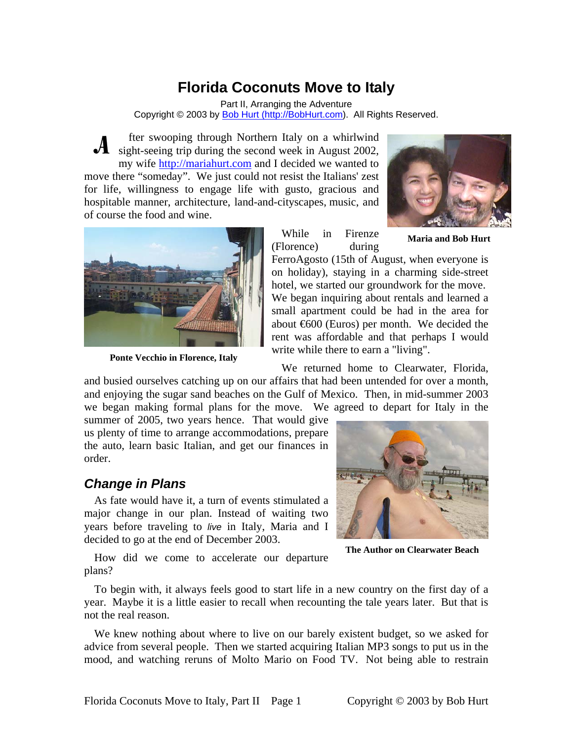# **Florida Coconuts Move to Italy**

Part II, Arranging the Adventure Copyright © 2003 by Bob Hurt (http://BobHurt.com). All Rights Reserved.

fter swooping through Northern Italy on a whirlwind A fter swooping through Northern Italy on a whirlwind sight-seeing trip during the second week in August 2002, my wife [http://mariahurt.com](http://mariahurt.com/) and I decided we wanted to move there "someday". We just could not resist the Italians' zest for life, willingness to engage life with gusto, gracious and hospitable manner, architecture, land-and-cityscapes, music, and of course the food and wine.





**Ponte Vecchio in Florence, Italy** 

While in Firenze (Florence) during

**Maria and Bob Hurt**

FerroAgosto (15th of August, when everyone is on holiday), staying in a charming side-street hotel, we started our groundwork for the move. We began inquiring about rentals and learned a small apartment could be had in the area for about €600 (Euros) per month. We decided the rent was affordable and that perhaps I would write while there to earn a "living".

We returned home to Clearwater, Florida,

an d busied ourselves catching up on our affairs that had been untended for over a month, and enjoying the sugar sand beaches on the Gulf of Mexico. Then, in mid-summer 2003 we began making formal plans for the move. We agreed to depart for Italy in the

us plenty of time to arrange accommodations, prepare the auto, learn basic Italian, and get our finances in summer of 2005, two years hence. That would give order.

### *Change in Plans*

As fate would have it, a turn of events stimulated a major change in our plan. Instead of waiting two years before traveling to live in Italy, Maria and I decided to go at the end of December 2003.



**The Author on Clearwater Beach** 

How did we come to accelerate our departure pl ans?

To begin with, it always feels good to start life in a new country on the first day of a ye ar. Maybe it is a little easier to recall when recounting the tale years later. But that is not the real reason.

We knew nothing about where to live on our barely existent budget, so we asked for ad vice from several people. Then we started acquiring Italian MP3 songs to put us in the mood, and watching reruns of Molto Mario on Food TV. Not being able to restrain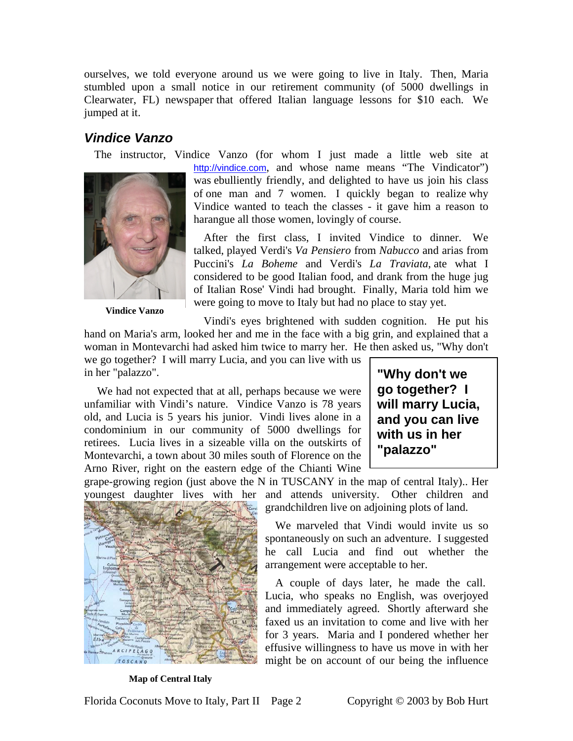ourselves, we told everyone around us we were going to live in Italy. Then, Maria stumbled upon a small notice in our retirement community (of 5000 dwellings in Clearwater, FL) newspaper that offered Italian language lessons for \$10 each. We jumped at it.

## *Vindice Vanzo*



**Vindice Vanzo** 

The instructor, Vindice Vanzo (for whom I just made a little web site at [http://vindice.com](http://vindice.com/), and whose name means "The Vindicator") was ebulliently friendly, and delighted to have us join his class of one man and 7 women. I quickly began to realize why Vindice wanted to teach the classes - it gave him a reason to harangue all those women, lovingly of course.

> After the first class, I invited Vindice to dinner. We ta lked, played Verdi's *Va Pensiero* from *Nabucco* and arias from Puccini's *La Boheme* and Verdi's *La Traviata*, ate what I considered to be good Italian food, and drank from the huge jug of Italian Rose' Vindi had brought. Finally, Maria told him we were going to move to Italy but had no place to stay yet.

Vindi's eyes brightened with sudden cognition. He put his hand on Maria's arm, looked her and me in the face with a big grin, and explained that a woman in Montevarchi had asked him twice to marry her. He then asked us, "Why don't

we go together? I will marry Lucia, and you can live with us in her "palazzo".

We had not expected that at all, perhaps because we were un familiar with Vindi's nature. Vindice Vanzo is 78 years old, and Lucia is 5 years his junior. Vindi lives alone in a condominium in our community of 5000 dwellings for retirees. Lucia lives in a sizeable villa on the outskirts of Montevarchi, a town about 30 miles south of Florence on the Arno River, right on the eastern edge of the Chianti Wine

**"Why don't we , will marry Lucia go together? I and you can live with us in her "palazzo"** 

grape-growing region (just above the N in TUSCANY in the m ap of central Italy).. Her youngest daughter lives with her and attends university. Other children and grandchildren live on adjoining plots of land.



#### **Map of Central Italy**

spontaneously on such an adventure. I suggested he call Lucia and find out whether the We marveled that Vindi would invite us so arrangement were acceptable to her.

Lucia, who speaks no English, was overjoyed an d immediately agreed. Shortly afterward she A couple of days later, he made the call. faxed us an invitation to come and live with her for 3 years. Maria and I pondered whether her effusive willingness to have us move in with her might be on account of our being the influence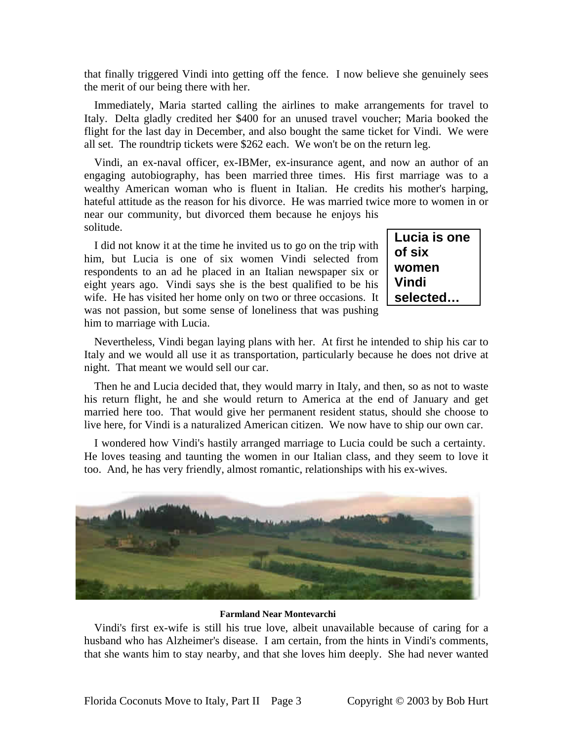that finally triggered Vindi into getting off the fence. I now believe she genuinely sees the merit of our being there with her.

Immediately, Maria started calling the airlines to make arrangements for travel to It aly. Delta gladly credited her \$400 for an unused travel voucher; Maria booked the flight for the last day in December, and also bought the same ticket for Vindi. We were all set. The roundtrip tickets were \$262 each. We won't be on the return leg.

Vindi, an ex-naval officer, ex-IBMer, ex-insurance agent, and now an author of an en gaging autobiography, has been married three times. His first marriage was to a wealthy American woman who is fluent in Italian. He credits his mother's harping, hateful attitude as the reason for his divorce. He was married twice more to women in or near our community, but divorced them because he enjoys his solitude.

I did not know it at the time he invited us to go on the trip with hi m, but Lucia is one of six women Vindi selected from respondents to an ad he placed in an Italian newspaper six or eight years ago. Vindi says she is the best qualified to be his wife. He has visited her home only on two or three occasions. It was not passion, but some sense of loneliness that was pushing him to marriage with Lucia.

| Lucia is one |
|--------------|
| of six       |
| women        |
| Vindi        |
| selected     |

Nevertheless, Vindi began laying plans with her. At first he intended to ship his car to It aly and we would all use it as transportation, particularly because he does not drive at night. That meant we would sell our car.

Then he and Lucia decided that, they would marry in Italy, and then, so as not to waste hi s return flight, he and she would return to America at the end of January and get married here too. That would give her permanent resident status, should she choose to live here, for Vindi is a naturalized American citizen. We now have to ship our own car.

H e loves teasing and taunting the women in our Italian class, and they seem to love it I wondered how Vindi's hastily arranged marriage to Lucia could be such a certainty. too. And, he has very friendly, almost romantic, relationships with his ex-wives.



#### **Farmland Near Montevarchi**

Vindi's first ex-wife is still his true love, albeit unavailable because of caring for a hu sband who has Alzheimer's disease. I am certain, from the hints in Vindi's comments, that she wants him to stay nearby, and that she loves him deeply. She had never wanted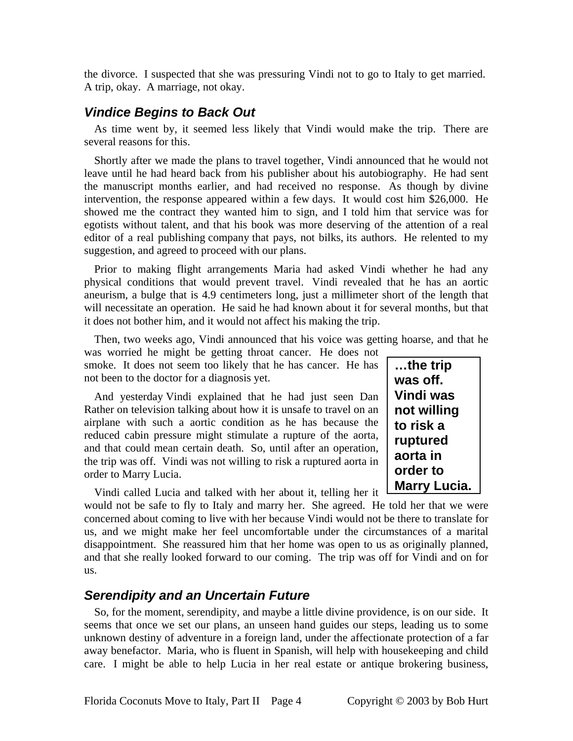the divorce. I suspected that she was pressuring Vindi not to go to Italy to get married. A trip, okay. A marriage, not okay.

### *Vindice Begins to Back Out*

As time went by, it seemed less likely that Vindi would make the trip. There are several reasons for this.

Shortly after we made the plans to travel together, Vindi announced that he would not leave until he had heard back from his publisher about his autobiography. He had sent the manuscript months earlier, and had received no response. As though by divine intervention, the response appeared within a few days. It would cost him \$26,000. He showed me the contract they wanted him to sign, and I told him that service was for egotists without talent, and that his book was more deserving of the attention of a real editor of a real publishing company that pays, not bilks, its authors. He relented to my suggestion, and agreed to proceed with our plans.

Prior to making flight arrangements Maria had asked Vindi whether he had any physical conditions that would prevent travel. Vindi revealed that he has an aortic aneurism, a bulge that is 4.9 centimeters long, just a millimeter short of the length that will necessitate an operation. He said he had known about it for several months, but that it does not bother him, and it would not affect his making the trip.

Then, two weeks ago, Vindi announced that his voice was getting hoarse, and that he was worried he might be getting throat cancer. He does not

smoke. It does not seem too likely that he has cancer. He has not been to the doctor for a diagnosis yet.

And yesterday Vindi explained that he had just seen Dan Rather on television talking about how it is unsafe to travel on an airplane with such a aortic condition as he has because the reduced cabin pressure might stimulate a rupture of the aorta, and that could mean certain death. So, until after an operation, the trip was off. Vindi was not willing to risk a ruptured aorta in order to Marry Lucia.

Vindi called Lucia and talked with her about it, telling her it

would not be safe to fly to Italy and marry her. She agreed. He told her that we were concerned about coming to live with her because Vindi would not be there to translate for us, and we might make her feel uncomfortable under the circumstances of a marital disappointment. She reassured him that her home was open to us as originally planned, and that she really looked forward to our coming. The trip was off for Vindi and on for us.

### *Serendipity and an Uncertain Future*

So, for the moment, serendipity, and maybe a little divine providence, is on our side. It seems that once we set our plans, an unseen hand guides our steps, leading us to some unknown destiny of adventure in a foreign land, under the affectionate protection of a far away benefactor. Maria, who is fluent in Spanish, will help with housekeeping and child care. I might be able to help Lucia in her real estate or antique brokering business,

**…the trip was off. Vindi was not willing to risk a ruptured aorta in order to Marry Lucia.**